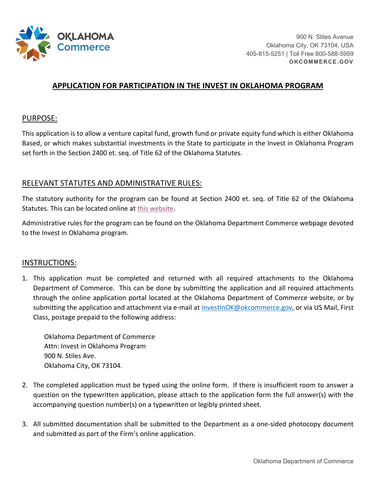

# **APPLICATION FOR PARTICIPATION IN THE INVEST IN OKLAHOMA PROGRAM**

### PURPOSE:

This application is to allow a venture capital fund, growth fund or private equity fund which is either Oklahoma Based, or which makes substantial investments in the State to participate in the Invest in Oklahoma Program set forth in the Section 2400 et. seq. of Title 62 of the Oklahoma Statutes.

## RELEVANT STATUTES AND ADMINISTRATIVE RULES:

The statutory authority for the program can be found at Section 2400 et. seq. of Title 62 of the Oklahoma Statutes. This can be located online at this website.

Administrative rules for the program can be found on the Oklahoma Department Commerce webpage devoted to the Invest in Oklahoma program.

#### INSTRUCTIONS:

 through the online application portal located at the Oklahoma Department of Commerce website, or by 1. This application must be completed and returned with all required attachments to the Oklahoma Department of Commerce. This can be done by submitting the application and all required attachments submitting the application and attachment via e-mail at **InvestInOK@okcommerce.gov**, or via US Mail, First Class, postage prepaid to the following address:

Oklahoma Department of Commerce Attn: Invest in Oklahoma Program 900 N. Stiles Ave. Oklahoma City, OK 73104.

- accompanying question number(s) on a typewritten or legibly printed sheet. 2. The completed application must be typed using the online form. If there is insufficient room to answer a question on the typewritten application, please attach to the application form the full answer(s) with the
- 3. All submitted documentation shall be submitted to the Department as a one-sided photocopy document and submitted as part of the Firm's online application.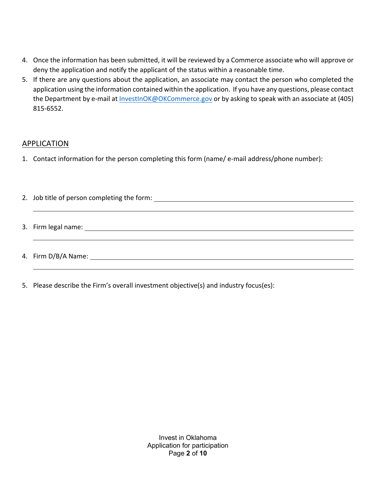- 4. Once the information has been submitted, it will be reviewed by a Commerce associate who will approve or deny the application and notify the applicant of the status within a reasonable time.
- 5. If there are any questions about the application, an associate may contact the person who completed the application using the information contained within the application. If you have any questions, please contact the Department by e-mail at [InvestInOK@OKCommerce.gov](mailto:InvestInOK@OKCommerce.gov) or by asking to speak with an associate at (405) 815-6552.

## APPLICATION

- 1. Contact information for the person completing this form (name/ e-mail address/phone number):
- 2. Job title of person completing the form: 3. Firm legal name: 4. Firm D/B/A Name:
- 5. Please describe the Firm's overall investment objective(s) and industry focus(es):

 Application for participation Invest in Oklahoma Page **2** of **10**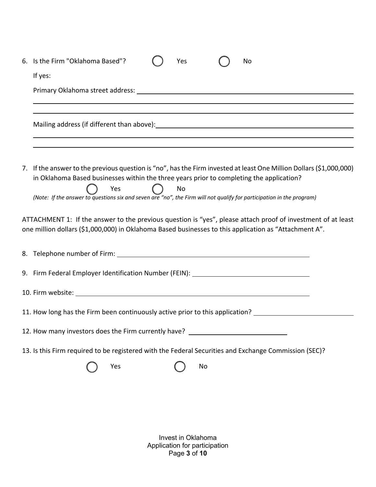| 6. Is the Firm "Oklahoma Based"?<br>Yes<br>No                                                                                                                                                                                                                                                                                                         |
|-------------------------------------------------------------------------------------------------------------------------------------------------------------------------------------------------------------------------------------------------------------------------------------------------------------------------------------------------------|
| If yes:                                                                                                                                                                                                                                                                                                                                               |
|                                                                                                                                                                                                                                                                                                                                                       |
| and the control of the control of the control of the control of the control of the control of the control of the<br>,我们也不会有什么。""我们的人,我们也不会有什么?""我们的人,我们也不会有什么?""我们的人,我们也不会有什么?""我们的人,我们也不会有什么?""我们的人                                                                                                                                                  |
| 7. If the answer to the previous question is "no", has the Firm invested at least One Million Dollars (\$1,000,000)<br>in Oklahoma Based businesses within the three years prior to completing the application?<br>Yes<br>No<br>(Note: If the answer to questions six and seven are "no", the Firm will not qualify for participation in the program) |
| ATTACHMENT 1: If the answer to the previous question is "yes", please attach proof of investment of at least<br>one million dollars (\$1,000,000) in Oklahoma Based businesses to this application as "Attachment A".                                                                                                                                 |
|                                                                                                                                                                                                                                                                                                                                                       |
| 9. Firm Federal Employer Identification Number (FEIN): _________________________                                                                                                                                                                                                                                                                      |
|                                                                                                                                                                                                                                                                                                                                                       |
| 11. How long has the Firm been continuously active prior to this application?                                                                                                                                                                                                                                                                         |
| 12. How many investors does the Firm currently have?                                                                                                                                                                                                                                                                                                  |
| 13. Is this Firm required to be registered with the Federal Securities and Exchange Commission (SEC)?                                                                                                                                                                                                                                                 |
| Yes<br>No                                                                                                                                                                                                                                                                                                                                             |

Invest in Oklahoma Application for participation Page **3** of **10**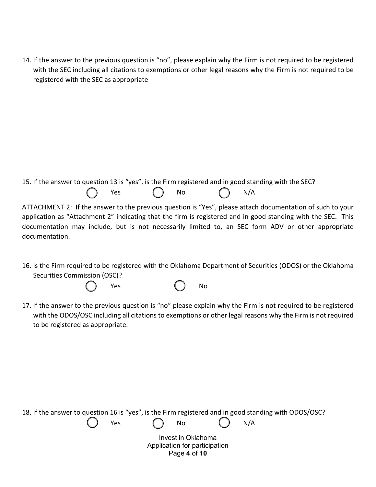14. If the answer to the previous question is "no", please explain why the Firm is not required to be registered with the SEC including all citations to exemptions or other legal reasons why the Firm is not required to be registered with the SEC as appropriate

15. If the answer to question 13 is "yes", is the Firm registered and in good standing with the SEC?

 $\bigcap$  Yes  $\bigcap$  No  $\bigcap$  N/A

ATTACHMENT 2: If the answer to the previous question is "Yes", please attach documentation of such to your application as "Attachment 2" indicating that the firm is registered and in good standing with the SEC. This documentation may include, but is not necessarily limited to, an SEC form ADV or other appropriate documentation.

16. Is the Firm required to be registered with the Oklahoma Department of Securities (ODOS) or the Oklahoma Securities Commission (OSC)?



17. If the answer to the previous question is "no" please explain why the Firm is not required to be registered with the ODOS/OSC including all citations to exemptions or other legal reasons why the Firm is not required to be registered as appropriate.

|  |     |            |                    |                               |     | 18. If the answer to question 16 is "yes", is the Firm registered and in good standing with ODOS/OSC? |
|--|-----|------------|--------------------|-------------------------------|-----|-------------------------------------------------------------------------------------------------------|
|  | Yes | $\bigcirc$ | <b>No</b>          |                               | N/A |                                                                                                       |
|  |     |            | Invest in Oklahoma | Application for participation |     |                                                                                                       |
|  |     |            | Page 4 of 10       |                               |     |                                                                                                       |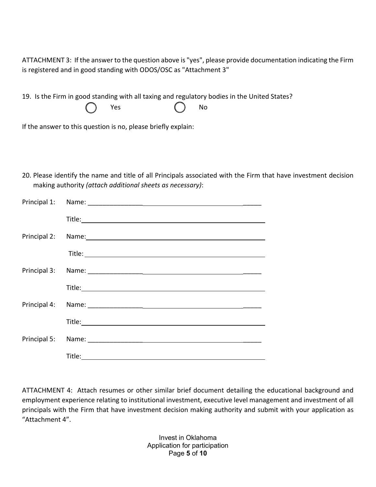ATTACHMENT 3: If the answer to the question above is "yes", please provide documentation indicating the Firm is registered and in good standing with ODOS/OSC as "Attachment 3"

19. Is the Firm in good standing with all taxing and regulatory bodies in the United States?

| _<br><b>Yes</b> | No |
|-----------------|----|
|-----------------|----|

If the answer to this question is no, please briefly explain:

20. Please identify the name and title of all Principals associated with the Firm that have investment decision making authority *(attach additional sheets as necessary)*:

| Principal 2: Name: Name: Name: Name: Name: Name: Name: Name: Name: Name: Name: Name: Name: Name: Name: Name: Name: Name: Name: Name: Name: Name: Name: Name: Name: Name: Name: Name: Name: Name: Name: Name: Name: Name: Name: |
|--------------------------------------------------------------------------------------------------------------------------------------------------------------------------------------------------------------------------------|
|                                                                                                                                                                                                                                |
|                                                                                                                                                                                                                                |
|                                                                                                                                                                                                                                |
|                                                                                                                                                                                                                                |
|                                                                                                                                                                                                                                |
|                                                                                                                                                                                                                                |
|                                                                                                                                                                                                                                |

ATTACHMENT 4: Attach resumes or other similar brief document detailing the educational background and employment experience relating to institutional investment, executive level management and investment of all principals with the Firm that have investment decision making authority and submit with your application as "Attachment 4".

> Application for participation Invest in Oklahoma Page **5** of **10**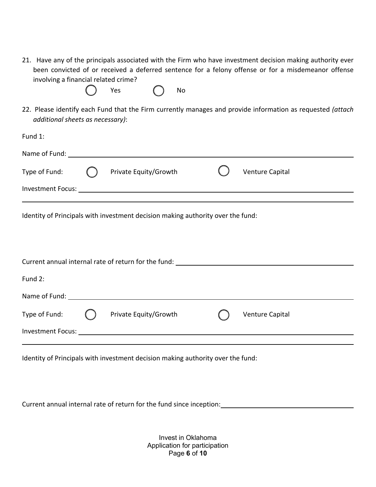21. Have any of the principals associated with the Firm who have investment decision making authority ever been convicted of or received a deferred sentence for a felony offense or for a misdemeanor offense involving a financial related crime?



22. Please identify each Fund that the Firm currently manages and provide information as requested *(attach additional sheets as necessary)*:

|                          | Private Equity/Growth |  | Venture Capital |  |  |
|--------------------------|-----------------------|--|-----------------|--|--|
| <b>Investment Focus:</b> |                       |  |                 |  |  |
|                          |                       |  |                 |  |  |
|                          |                       |  |                 |  |  |

Identity of Principals with investment decision making authority over the fund:

|                          | Current annual internal rate of return for the fund: |                 |
|--------------------------|------------------------------------------------------|-----------------|
|                          |                                                      |                 |
| Fund 2:                  |                                                      |                 |
| Name of Fund:            |                                                      |                 |
|                          |                                                      |                 |
| Type of Fund:            | Private Equity/Growth                                | Venture Capital |
| <b>Investment Focus:</b> |                                                      |                 |
|                          |                                                      |                 |

Identity of Principals with investment decision making authority over the fund:

Current annual internal rate of return for the fund since inception:

 Application for participation Invest in Oklahoma Page **6** of **10**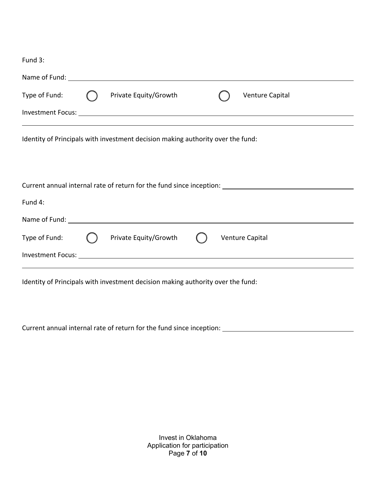| Fund 3:       |                                                                                 |  |                                                                                                      |
|---------------|---------------------------------------------------------------------------------|--|------------------------------------------------------------------------------------------------------|
|               |                                                                                 |  |                                                                                                      |
| Type of Fund: | Private Equity/Growth                                                           |  | Venture Capital                                                                                      |
|               |                                                                                 |  |                                                                                                      |
|               | Identity of Principals with investment decision making authority over the fund: |  |                                                                                                      |
|               |                                                                                 |  | Current annual internal rate of return for the fund since inception: _______________________________ |
| Fund 4:       |                                                                                 |  |                                                                                                      |
|               |                                                                                 |  |                                                                                                      |
| Type of Fund: | Private Equity/Growth                                                           |  | Venture Capital                                                                                      |
|               |                                                                                 |  |                                                                                                      |
|               | Identity of Principals with investment decision making authority over the fund: |  |                                                                                                      |

Current annual internal rate of return for the fund since inception:

 Application for participation Invest in Oklahoma Page **7** of **10**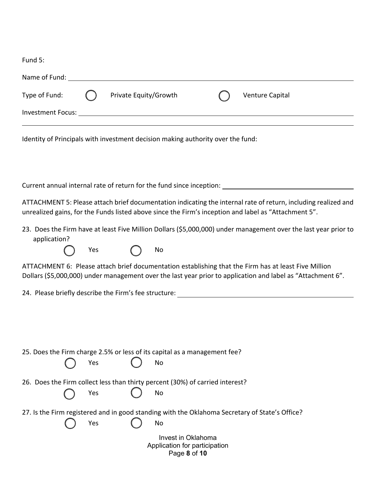| Fund 5:                                                                                                                                                                                                                        |                       |                                                                     |                                                                                                                                                                                                                        |
|--------------------------------------------------------------------------------------------------------------------------------------------------------------------------------------------------------------------------------|-----------------------|---------------------------------------------------------------------|------------------------------------------------------------------------------------------------------------------------------------------------------------------------------------------------------------------------|
| Name of Fund: 1997 and 1997 and 1997 and 1997 and 1997 and 1997 and 1997 and 1997 and 1997 and 1997 and 1997 and 1997 and 1997 and 1997 and 1997 and 1997 and 1997 and 1997 and 1997 and 1997 and 1997 and 1997 and 1997 and 1 |                       |                                                                     |                                                                                                                                                                                                                        |
| Type of Fund:                                                                                                                                                                                                                  | Private Equity/Growth |                                                                     | Venture Capital                                                                                                                                                                                                        |
|                                                                                                                                                                                                                                |                       |                                                                     |                                                                                                                                                                                                                        |
| Identity of Principals with investment decision making authority over the fund:                                                                                                                                                |                       |                                                                     |                                                                                                                                                                                                                        |
|                                                                                                                                                                                                                                |                       |                                                                     |                                                                                                                                                                                                                        |
|                                                                                                                                                                                                                                |                       |                                                                     | ATTACHMENT 5: Please attach brief documentation indicating the internal rate of return, including realized and<br>unrealized gains, for the Funds listed above since the Firm's inception and label as "Attachment 5". |
| application?                                                                                                                                                                                                                   | Yes                   | No                                                                  | 23. Does the Firm have at least Five Million Dollars (\$5,000,000) under management over the last year prior to                                                                                                        |
|                                                                                                                                                                                                                                |                       |                                                                     | ATTACHMENT 6: Please attach brief documentation establishing that the Firm has at least Five Million<br>Dollars (\$5,000,000) under management over the last year prior to application and label as "Attachment 6".    |
|                                                                                                                                                                                                                                |                       |                                                                     |                                                                                                                                                                                                                        |
|                                                                                                                                                                                                                                |                       |                                                                     |                                                                                                                                                                                                                        |
| 25. Does the Firm charge 2.5% or less of its capital as a management fee?                                                                                                                                                      | Yes                   | No                                                                  |                                                                                                                                                                                                                        |
| 26. Does the Firm collect less than thirty percent (30%) of carried interest?                                                                                                                                                  | Yes                   | No                                                                  |                                                                                                                                                                                                                        |
| 27. Is the Firm registered and in good standing with the Oklahoma Secretary of State's Office?                                                                                                                                 | Yes                   | No                                                                  |                                                                                                                                                                                                                        |
|                                                                                                                                                                                                                                |                       | Invest in Oklahoma<br>Application for participation<br>Page 8 of 10 |                                                                                                                                                                                                                        |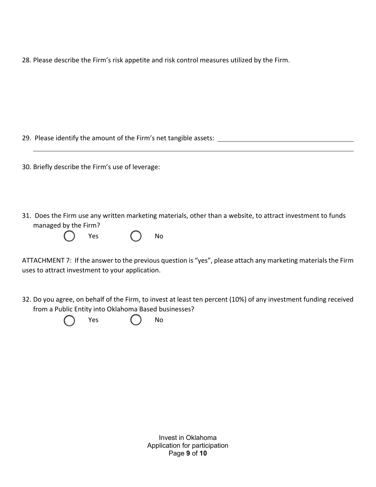28. Please describe the Firm's risk appetite and risk control measures utilized by the Firm.

29. Please identify the amount of the Firm's net tangible assets:

30. Briefly describe the Firm's use of leverage:

31. Does the Firm use any written marketing materials, other than a website, to attract investment to funds managed by the Firm?



ATTACHMENT 7: If the answer to the previous question is "yes", please attach any marketing materials the Firm uses to attract investment to your application.

32. Do you agree, on behalf of the Firm, to invest at least ten percent (10%) of any investment funding received from a Public Entity into Oklahoma Based businesses?

Yes ( ) No

 Application for participation Invest in Oklahoma Page **9** of **10**